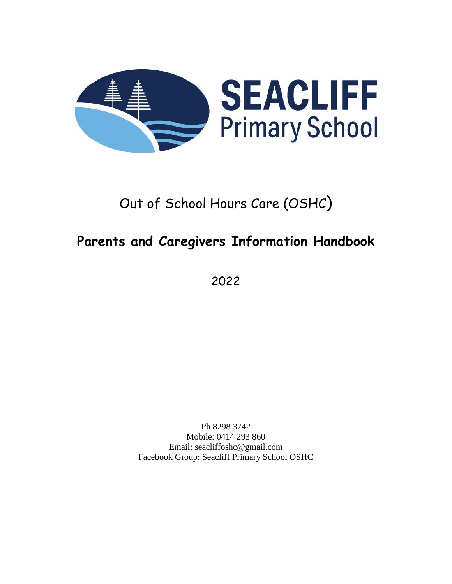

# Out of School Hours Care (OSHC)

# **Parents and Caregivers Information Handbook**

2022

Ph 8298 3742 Mobile: 0414 293 860 Email: seacliffoshc@gmail.com Facebook Group: Seacliff Primary School OSHC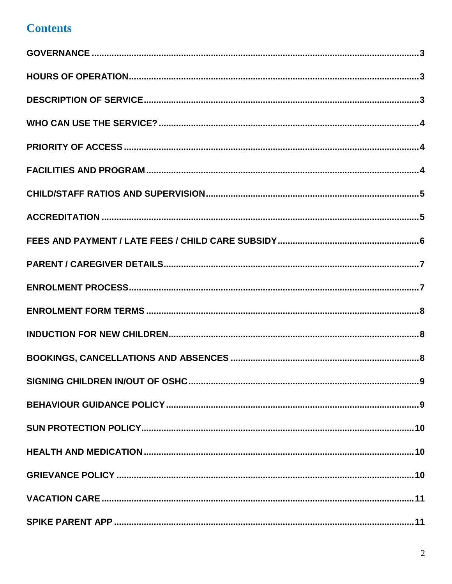### **Contents**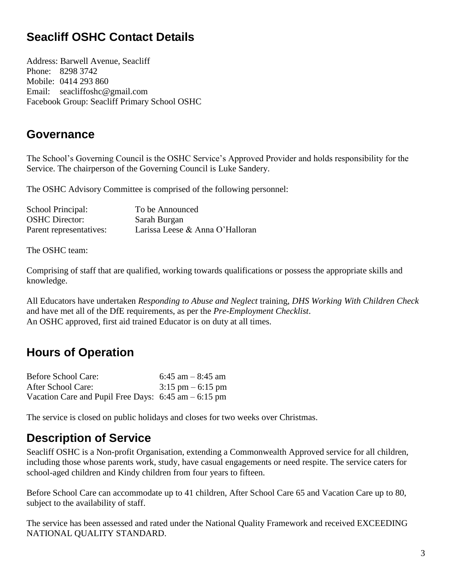### **Seacliff OSHC Contact Details**

Address: Barwell Avenue, Seacliff Phone: 8298 3742 Mobile: 0414 293 860 Email: seacliffoshc@gmail.com Facebook Group: Seacliff Primary School OSHC

#### <span id="page-2-0"></span>**Governance**

The School's Governing Council is the OSHC Service's Approved Provider and holds responsibility for the Service. The chairperson of the Governing Council is Luke Sandery.

The OSHC Advisory Committee is comprised of the following personnel:

| School Principal:       | To be Announced                 |
|-------------------------|---------------------------------|
| <b>OSHC</b> Director:   | Sarah Burgan                    |
| Parent representatives: | Larissa Leese & Anna O'Halloran |

The OSHC team:

Comprising of staff that are qualified, working towards qualifications or possess the appropriate skills and knowledge.

All Educators have undertaken *Responding to Abuse and Neglect* training, *DHS Working With Children Check* and have met all of the DfE requirements, as per the *Pre-Employment Checklist*. An OSHC approved, first aid trained Educator is on duty at all times.

### <span id="page-2-1"></span>**Hours of Operation**

| <b>Before School Care:</b>                              | 6:45 am $-$ 8:45 am                 |
|---------------------------------------------------------|-------------------------------------|
| After School Care:                                      | $3:15 \text{ pm} - 6:15 \text{ pm}$ |
| Vacation Care and Pupil Free Days: $6:45$ am $-6:15$ pm |                                     |

The service is closed on public holidays and closes for two weeks over Christmas.

#### <span id="page-2-2"></span>**Description of Service**

Seacliff OSHC is a Non-profit Organisation, extending a Commonwealth Approved service for all children, including those whose parents work, study, have casual engagements or need respite. The service caters for school-aged children and Kindy children from four years to fifteen.

Before School Care can accommodate up to 41 children, After School Care 65 and Vacation Care up to 80, subject to the availability of staff.

The service has been assessed and rated under the National Quality Framework and received EXCEEDING NATIONAL QUALITY STANDARD.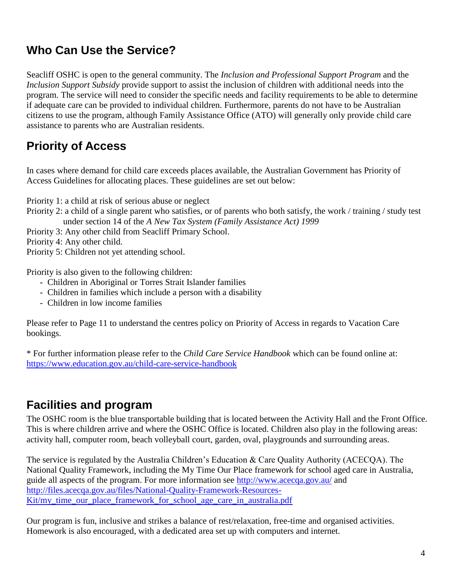### <span id="page-3-0"></span>**Who Can Use the Service?**

Seacliff OSHC is open to the general community. The *Inclusion and Professional Support Program* and the *Inclusion Support Subsidy* provide support to assist the inclusion of children with additional needs into the program. The service will need to consider the specific needs and facility requirements to be able to determine if adequate care can be provided to individual children. Furthermore, parents do not have to be Australian citizens to use the program, although Family Assistance Office (ATO) will generally only provide child care assistance to parents who are Australian residents.

### <span id="page-3-1"></span>**Priority of Access**

In cases where demand for child care exceeds places available, the Australian Government has Priority of Access Guidelines for allocating places. These guidelines are set out below:

Priority 1: a child at risk of serious abuse or neglect

Priority 2: a child of a single parent who satisfies, or of parents who both satisfy, the work / training / study test under section 14 of the *A New Tax System (Family Assistance Act) 1999*

Priority 3: Any other child from Seacliff Primary School.

Priority 4: Any other child.

Priority 5: Children not yet attending school.

Priority is also given to the following children:

- Children in Aboriginal or Torres Strait Islander families
- Children in families which include a person with a disability
- Children in low income families

Please refer to Page 11 to understand the centres policy on Priority of Access in regards to Vacation Care bookings.

\* For further information please refer to the *Child Care Service Handbook* which can be found online at: <https://www.education.gov.au/child-care-service-handbook>

#### <span id="page-3-2"></span>**Facilities and program**

The OSHC room is the blue transportable building that is located between the Activity Hall and the Front Office. This is where children arrive and where the OSHC Office is located. Children also play in the following areas: activity hall, computer room, beach volleyball court, garden, oval, playgrounds and surrounding areas.

The service is regulated by the Australia Children's Education & Care Quality Authority (ACECQA). The National Quality Framework, including the My Time Our Place framework for school aged care in Australia, guide all aspects of the program. For more information see<http://www.acecqa.gov.au/> and [http://files.acecqa.gov.au/files/National-Quality-Framework-Resources-](http://files.acecqa.gov.au/files/National-Quality-Framework-Resources-Kit/my_time_our_place_framework_for_school_age_care_in_australia.pdf)[Kit/my\\_time\\_our\\_place\\_framework\\_for\\_school\\_age\\_care\\_in\\_australia.pdf](http://files.acecqa.gov.au/files/National-Quality-Framework-Resources-Kit/my_time_our_place_framework_for_school_age_care_in_australia.pdf)

Our program is fun, inclusive and strikes a balance of rest/relaxation, free-time and organised activities. Homework is also encouraged, with a dedicated area set up with computers and internet.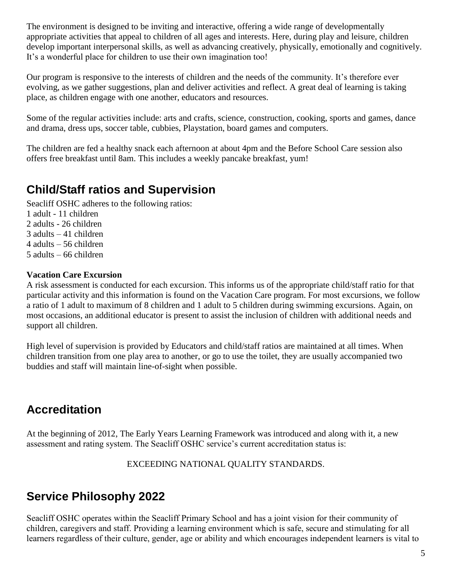The environment is designed to be inviting and interactive, offering a wide range of developmentally appropriate activities that appeal to children of all ages and interests. Here, during play and leisure, children develop important interpersonal skills, as well as advancing creatively, physically, emotionally and cognitively. It's a wonderful place for children to use their own imagination too!

Our program is responsive to the interests of children and the needs of the community. It's therefore ever evolving, as we gather suggestions, plan and deliver activities and reflect. A great deal of learning is taking place, as children engage with one another, educators and resources.

Some of the regular activities include: arts and crafts, science, construction, cooking, sports and games, dance and drama, dress ups, soccer table, cubbies, Playstation, board games and computers.

The children are fed a healthy snack each afternoon at about 4pm and the Before School Care session also offers free breakfast until 8am. This includes a weekly pancake breakfast, yum!

#### <span id="page-4-0"></span>**Child/Staff ratios and Supervision**

Seacliff OSHC adheres to the following ratios:

1 adult - 11 children 2 adults - 26 children 3 adults – 41 children 4 adults – 56 children 5 adults – 66 children

#### **Vacation Care Excursion**

A risk assessment is conducted for each excursion. This informs us of the appropriate child/staff ratio for that particular activity and this information is found on the Vacation Care program. For most excursions, we follow a ratio of 1 adult to maximum of 8 children and 1 adult to 5 children during swimming excursions. Again, on most occasions, an additional educator is present to assist the inclusion of children with additional needs and support all children.

High level of supervision is provided by Educators and child/staff ratios are maintained at all times. When children transition from one play area to another, or go to use the toilet, they are usually accompanied two buddies and staff will maintain line-of-sight when possible.

### <span id="page-4-1"></span>**Accreditation**

At the beginning of 2012, The Early Years Learning Framework was introduced and along with it, a new assessment and rating system. The Seacliff OSHC service's current accreditation status is:

EXCEEDING NATIONAL QUALITY STANDARDS.

### **Service Philosophy 2022**

Seacliff OSHC operates within the Seacliff Primary School and has a joint vision for their community of children, caregivers and staff. Providing a learning environment which is safe, secure and stimulating for all learners regardless of their culture, gender, age or ability and which encourages independent learners is vital to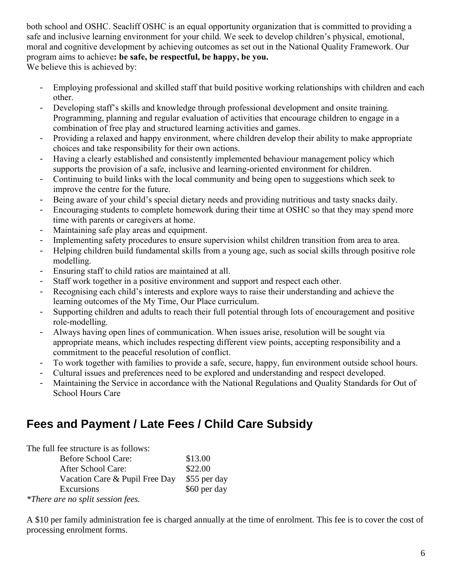both school and OSHC. Seacliff OSHC is an equal opportunity organization that is committed to providing a safe and inclusive learning environment for your child. We seek to develop children's physical, emotional, moral and cognitive development by achieving outcomes as set out in the National Quality Framework. Our program aims to achieve**: be safe, be respectful, be happy, be you.** We believe this is achieved by:

- Employing professional and skilled staff that build positive working relationships with children and each other.
- Developing staff's skills and knowledge through professional development and onsite training. Programming, planning and regular evaluation of activities that encourage children to engage in a combination of free play and structured learning activities and games.
- Providing a relaxed and happy environment, where children develop their ability to make appropriate choices and take responsibility for their own actions.
- Having a clearly established and consistently implemented behaviour management policy which supports the provision of a safe, inclusive and learning-oriented environment for children.
- Continuing to build links with the local community and being open to suggestions which seek to improve the centre for the future.
- Being aware of your child's special dietary needs and providing nutritious and tasty snacks daily.
- Encouraging students to complete homework during their time at OSHC so that they may spend more time with parents or caregivers at home.
- Maintaining safe play areas and equipment.
- Implementing safety procedures to ensure supervision whilst children transition from area to area.
- Helping children build fundamental skills from a young age, such as social skills through positive role modelling.
- Ensuring staff to child ratios are maintained at all.
- Staff work together in a positive environment and support and respect each other.
- Recognising each child's interests and explore ways to raise their understanding and achieve the learning outcomes of the My Time, Our Place curriculum.
- Supporting children and adults to reach their full potential through lots of encouragement and positive role-modelling.
- Always having open lines of communication. When issues arise, resolution will be sought via appropriate means, which includes respecting different view points, accepting responsibility and a commitment to the peaceful resolution of conflict.
- To work together with families to provide a safe, secure, happy, fun environment outside school hours.
- Cultural issues and preferences need to be explored and understanding and respect developed.
- Maintaining the Service in accordance with the National Regulations and Quality Standards for Out of School Hours Care

### <span id="page-5-0"></span>**Fees and Payment / Late Fees / Child Care Subsidy**

| The full fee structure is as follows: |              |
|---------------------------------------|--------------|
| <b>Before School Care:</b>            | \$13.00      |
| After School Care:                    | \$22.00      |
| Vacation Care & Pupil Free Day        | \$55 per day |
| Excursions                            | \$60 per day |
| *There are no split session fees.     |              |

A \$10 per family administration fee is charged annually at the time of enrolment. This fee is to cover the cost of processing enrolment forms.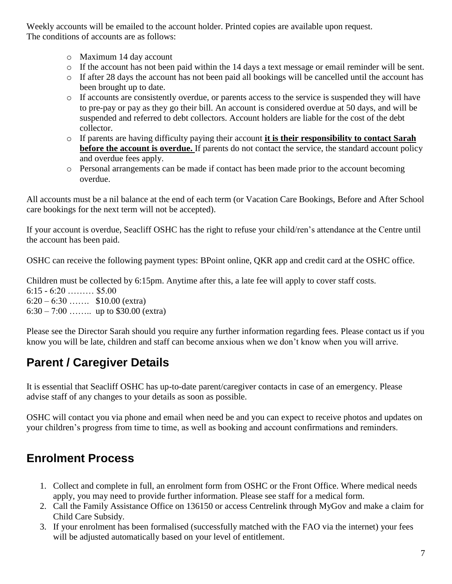Weekly accounts will be emailed to the account holder. Printed copies are available upon request. The conditions of accounts are as follows:

- o Maximum 14 day account
- $\circ$  If the account has not been paid within the 14 days a text message or email reminder will be sent.
- o If after 28 days the account has not been paid all bookings will be cancelled until the account has been brought up to date.
- o If accounts are consistently overdue, or parents access to the service is suspended they will have to pre-pay or pay as they go their bill. An account is considered overdue at 50 days, and will be suspended and referred to debt collectors. Account holders are liable for the cost of the debt collector.
- o If parents are having difficulty paying their account **it is their responsibility to contact Sarah before the account is overdue.** If parents do not contact the service, the standard account policy and overdue fees apply.
- o Personal arrangements can be made if contact has been made prior to the account becoming overdue.

All accounts must be a nil balance at the end of each term (or Vacation Care Bookings, Before and After School care bookings for the next term will not be accepted).

If your account is overdue, Seacliff OSHC has the right to refuse your child/ren's attendance at the Centre until the account has been paid.

OSHC can receive the following payment types: BPoint online, QKR app and credit card at the OSHC office.

Children must be collected by 6:15pm. Anytime after this, a late fee will apply to cover staff costs. 6:15 - 6:20 ……… \$5.00  $6:20 - 6:30$  ……. \$10.00 (extra) 6:30 – 7:00 …….. up to \$30.00 (extra)

Please see the Director Sarah should you require any further information regarding fees. Please contact us if you know you will be late, children and staff can become anxious when we don't know when you will arrive.

## <span id="page-6-0"></span>**Parent / Caregiver Details**

It is essential that Seacliff OSHC has up-to-date parent/caregiver contacts in case of an emergency. Please advise staff of any changes to your details as soon as possible.

OSHC will contact you via phone and email when need be and you can expect to receive photos and updates on your children's progress from time to time, as well as booking and account confirmations and reminders.

### <span id="page-6-1"></span>**Enrolment Process**

- 1. Collect and complete in full, an enrolment form from OSHC or the Front Office. Where medical needs apply, you may need to provide further information. Please see staff for a medical form.
- 2. Call the Family Assistance Office on 136150 or access Centrelink through MyGov and make a claim for Child Care Subsidy.
- 3. If your enrolment has been formalised (successfully matched with the FAO via the internet) your fees will be adjusted automatically based on your level of entitlement.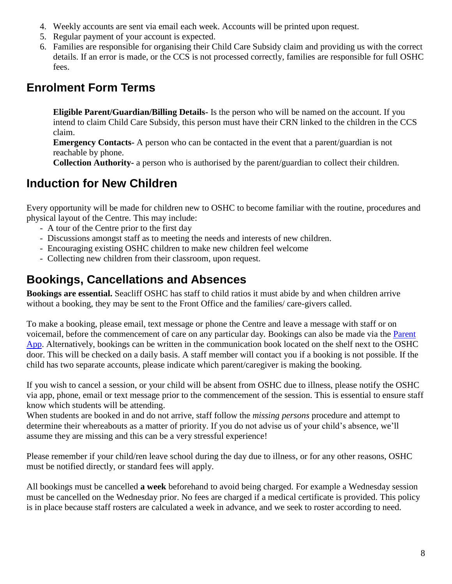- 4. Weekly accounts are sent via email each week. Accounts will be printed upon request.
- 5. Regular payment of your account is expected.
- 6. Families are responsible for organising their Child Care Subsidy claim and providing us with the correct details. If an error is made, or the CCS is not processed correctly, families are responsible for full OSHC fees.

### <span id="page-7-0"></span>**Enrolment Form Terms**

**Eligible Parent/Guardian/Billing Details-** Is the person who will be named on the account. If you intend to claim Child Care Subsidy, this person must have their CRN linked to the children in the CCS claim.

**Emergency Contacts-** A person who can be contacted in the event that a parent/guardian is not reachable by phone.

**Collection Authority-** a person who is authorised by the parent/guardian to collect their children.

### <span id="page-7-1"></span>**Induction for New Children**

Every opportunity will be made for children new to OSHC to become familiar with the routine, procedures and physical layout of the Centre. This may include:

- A tour of the Centre prior to the first day
- Discussions amongst staff as to meeting the needs and interests of new children.
- Encouraging existing OSHC children to make new children feel welcome
- Collecting new children from their classroom, upon request.

#### <span id="page-7-2"></span>**Bookings, Cancellations and Absences**

**Bookings are essential.** Seacliff OSHC has staff to child ratios it must abide by and when children arrive without a booking, they may be sent to the Front Office and the families/ care-givers called.

To make a booking, please email, text message or phone the Centre and leave a message with staff or on voicemail, before the commencement of care on any particular day. Bookings can also be made via the [Parent](https://seaps.spike.economicoutlook.net/clients/#/)  [App.](https://seaps.spike.economicoutlook.net/clients/#/) Alternatively, bookings can be written in the communication book located on the shelf next to the OSHC door. This will be checked on a daily basis. A staff member will contact you if a booking is not possible. If the child has two separate accounts, please indicate which parent/caregiver is making the booking.

If you wish to cancel a session, or your child will be absent from OSHC due to illness, please notify the OSHC via app, phone, email or text message prior to the commencement of the session. This is essential to ensure staff know which students will be attending.

When students are booked in and do not arrive, staff follow the *missing persons* procedure and attempt to determine their whereabouts as a matter of priority. If you do not advise us of your child's absence, we'll assume they are missing and this can be a very stressful experience!

Please remember if your child/ren leave school during the day due to illness, or for any other reasons, OSHC must be notified directly, or standard fees will apply.

All bookings must be cancelled **a week** beforehand to avoid being charged. For example a Wednesday session must be cancelled on the Wednesday prior. No fees are charged if a medical certificate is provided. This policy is in place because staff rosters are calculated a week in advance, and we seek to roster according to need.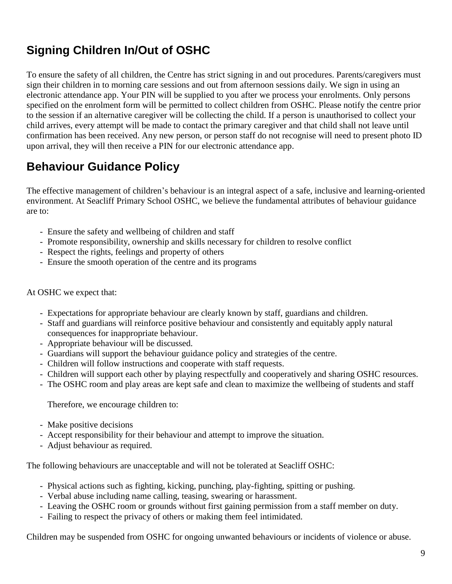## <span id="page-8-0"></span>**Signing Children In/Out of OSHC**

To ensure the safety of all children, the Centre has strict signing in and out procedures. Parents/caregivers must sign their children in to morning care sessions and out from afternoon sessions daily. We sign in using an electronic attendance app. Your PIN will be supplied to you after we process your enrolments. Only persons specified on the enrolment form will be permitted to collect children from OSHC. Please notify the centre prior to the session if an alternative caregiver will be collecting the child. If a person is unauthorised to collect your child arrives, every attempt will be made to contact the primary caregiver and that child shall not leave until confirmation has been received. Any new person, or person staff do not recognise will need to present photo ID upon arrival, they will then receive a PIN for our electronic attendance app.

### <span id="page-8-1"></span>**Behaviour Guidance Policy**

The effective management of children's behaviour is an integral aspect of a safe, inclusive and learning-oriented environment. At Seacliff Primary School OSHC, we believe the fundamental attributes of behaviour guidance are to:

- Ensure the safety and wellbeing of children and staff
- Promote responsibility, ownership and skills necessary for children to resolve conflict
- Respect the rights, feelings and property of others
- Ensure the smooth operation of the centre and its programs

#### At OSHC we expect that:

- Expectations for appropriate behaviour are clearly known by staff, guardians and children.
- Staff and guardians will reinforce positive behaviour and consistently and equitably apply natural consequences for inappropriate behaviour.
- Appropriate behaviour will be discussed.
- Guardians will support the behaviour guidance policy and strategies of the centre.
- Children will follow instructions and cooperate with staff requests.
- Children will support each other by playing respectfully and cooperatively and sharing OSHC resources.
- The OSHC room and play areas are kept safe and clean to maximize the wellbeing of students and staff

Therefore, we encourage children to:

- Make positive decisions
- Accept responsibility for their behaviour and attempt to improve the situation.
- Adjust behaviour as required.

The following behaviours are unacceptable and will not be tolerated at Seacliff OSHC:

- Physical actions such as fighting, kicking, punching, play-fighting, spitting or pushing.
- Verbal abuse including name calling, teasing, swearing or harassment.
- Leaving the OSHC room or grounds without first gaining permission from a staff member on duty.
- Failing to respect the privacy of others or making them feel intimidated.

Children may be suspended from OSHC for ongoing unwanted behaviours or incidents of violence or abuse.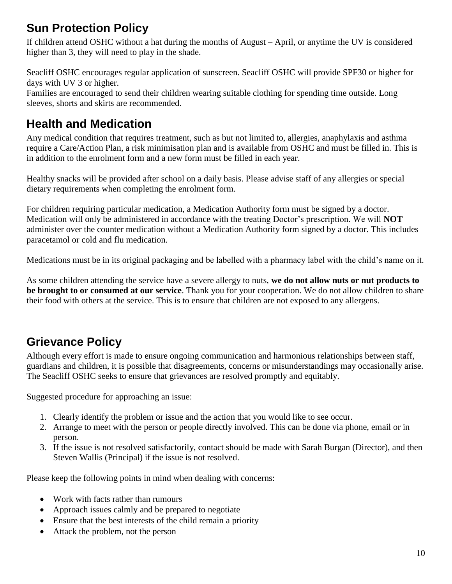### <span id="page-9-0"></span>**Sun Protection Policy**

If children attend OSHC without a hat during the months of August – April, or anytime the UV is considered higher than 3, they will need to play in the shade.

Seacliff OSHC encourages regular application of sunscreen. Seacliff OSHC will provide SPF30 or higher for days with UV 3 or higher.

Families are encouraged to send their children wearing suitable clothing for spending time outside. Long sleeves, shorts and skirts are recommended.

### <span id="page-9-1"></span>**Health and Medication**

Any medical condition that requires treatment, such as but not limited to, allergies, anaphylaxis and asthma require a Care/Action Plan, a risk minimisation plan and is available from OSHC and must be filled in. This is in addition to the enrolment form and a new form must be filled in each year.

Healthy snacks will be provided after school on a daily basis. Please advise staff of any allergies or special dietary requirements when completing the enrolment form.

For children requiring particular medication, a Medication Authority form must be signed by a doctor. Medication will only be administered in accordance with the treating Doctor's prescription. We will **NOT** administer over the counter medication without a Medication Authority form signed by a doctor. This includes paracetamol or cold and flu medication.

Medications must be in its original packaging and be labelled with a pharmacy label with the child's name on it.

<span id="page-9-2"></span>As some children attending the service have a severe allergy to nuts, **we do not allow nuts or nut products to be brought to or consumed at our service**. Thank you for your cooperation. We do not allow children to share their food with others at the service. This is to ensure that children are not exposed to any allergens.

### **Grievance Policy**

Although every effort is made to ensure ongoing communication and harmonious relationships between staff, guardians and children, it is possible that disagreements, concerns or misunderstandings may occasionally arise. The Seacliff OSHC seeks to ensure that grievances are resolved promptly and equitably.

Suggested procedure for approaching an issue:

- 1. Clearly identify the problem or issue and the action that you would like to see occur.
- 2. Arrange to meet with the person or people directly involved. This can be done via phone, email or in person.
- 3. If the issue is not resolved satisfactorily, contact should be made with Sarah Burgan (Director), and then Steven Wallis (Principal) if the issue is not resolved.

Please keep the following points in mind when dealing with concerns:

- Work with facts rather than rumours
- Approach issues calmly and be prepared to negotiate
- Ensure that the best interests of the child remain a priority
- Attack the problem, not the person